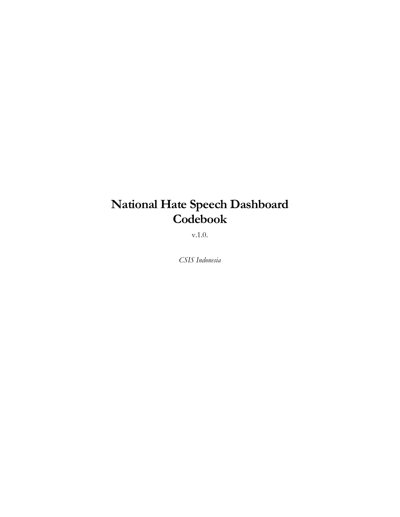# **National Hate Speech Dashboard Codebook**

v.1.0.

*CSIS Indonesia*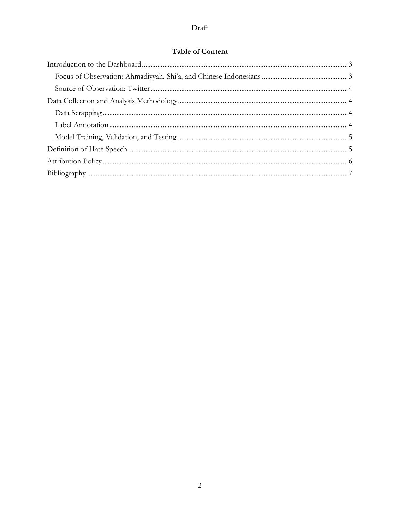# **Table of Content**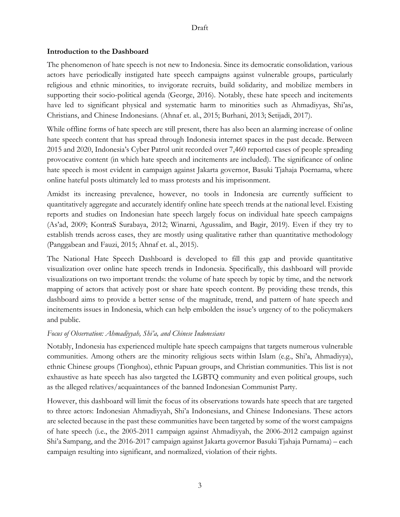#### **Introduction to the Dashboard**

The phenomenon of hate speech is not new to Indonesia. Since its democratic consolidation, various actors have periodically instigated hate speech campaigns against vulnerable groups, particularly religious and ethnic minorities, to invigorate recruits, build solidarity, and mobilize members in supporting their socio-political agenda (George, 2016). Notably, these hate speech and incitements have led to significant physical and systematic harm to minorities such as Ahmadiyyas, Shi'as, Christians, and Chinese Indonesians. (Ahnaf et. al., 2015; Burhani, 2013; Setijadi, 2017).

While offline forms of hate speech are still present, there has also been an alarming increase of online hate speech content that has spread through Indonesia internet spaces in the past decade. Between 2015 and 2020, Indonesia's Cyber Patrol unit recorded over 7,460 reported cases of people spreading provocative content (in which hate speech and incitements are included). The significance of online hate speech is most evident in campaign against Jakarta governor, Basuki Tjahaja Poernama, where online hateful posts ultimately led to mass protests and his imprisonment.

Amidst its increasing prevalence, however, no tools in Indonesia are currently sufficient to quantitatively aggregate and accurately identify online hate speech trends at the national level. Existing reports and studies on Indonesian hate speech largely focus on individual hate speech campaigns (As'ad, 2009; KontraS Surabaya, 2012; Winarni, Agussalim, and Bagir, 2019). Even if they try to establish trends across cases, they are mostly using qualitative rather than quantitative methodology (Panggabean and Fauzi, 2015; Ahnaf et. al., 2015).

The National Hate Speech Dashboard is developed to fill this gap and provide quantitative visualization over online hate speech trends in Indonesia. Specifically, this dashboard will provide visualizations on two important trends: the volume of hate speech by topic by time, and the network mapping of actors that actively post or share hate speech content. By providing these trends, this dashboard aims to provide a better sense of the magnitude, trend, and pattern of hate speech and incitements issues in Indonesia, which can help embolden the issue's urgency of to the policymakers and public.

#### *Focus of Observation: Ahmadiyyah, Shi'a, and Chinese Indonesians*

Notably, Indonesia has experienced multiple hate speech campaigns that targets numerous vulnerable communities. Among others are the minority religious sects within Islam (e.g., Shi'a, Ahmadiyya), ethnic Chinese groups (Tionghoa), ethnic Papuan groups, and Christian communities. This list is not exhaustive as hate speech has also targeted the LGBTQ community and even political groups, such as the alleged relatives/acquaintances of the banned Indonesian Communist Party.

However, this dashboard will limit the focus of its observations towards hate speech that are targeted to three actors: Indonesian Ahmadiyyah, Shi'a Indonesians, and Chinese Indonesians. These actors are selected because in the past these communities have been targeted by some of the worst campaigns of hate speech (i.e., the 2005-2011 campaign against Ahmadiyyah, the 2006-2012 campaign against Shi'a Sampang, and the 2016-2017 campaign against Jakarta governor Basuki Tjahaja Purnama) – each campaign resulting into significant, and normalized, violation of their rights.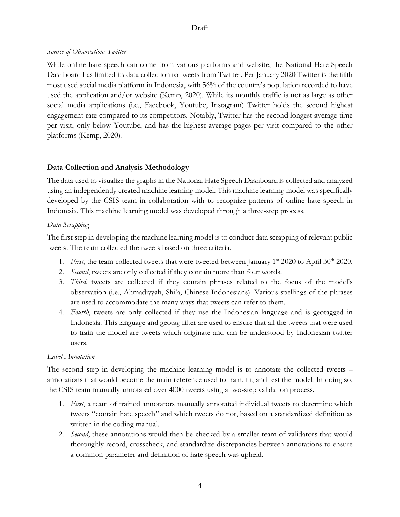### *Source of Observation: Twitter*

While online hate speech can come from various platforms and website, the National Hate Speech Dashboard has limited its data collection to tweets from Twitter. Per January 2020 Twitter is the fifth most used social media platform in Indonesia, with 56% of the country's population recorded to have used the application and/or website (Kemp, 2020). While its monthly traffic is not as large as other social media applications (i.e., Facebook, Youtube, Instagram) Twitter holds the second highest engagement rate compared to its competitors. Notably, Twitter has the second longest average time per visit, only below Youtube, and has the highest average pages per visit compared to the other platforms (Kemp, 2020).

# **Data Collection and Analysis Methodology**

The data used to visualize the graphs in the National Hate Speech Dashboard is collected and analyzed using an independently created machine learning model. This machine learning model was specifically developed by the CSIS team in collaboration with to recognize patterns of online hate speech in Indonesia. This machine learning model was developed through a three-step process.

# *Data Scrapping*

The first step in developing the machine learning model is to conduct data scrapping of relevant public tweets. The team collected the tweets based on three criteria.

- 1. *First*, the team collected tweets that were tweeted between January  $1^{st}$  2020 to April 30<sup>th</sup> 2020.
- 2. *Second*, tweets are only collected if they contain more than four words.
- 3. *Third*, tweets are collected if they contain phrases related to the focus of the model's observation (i.e., Ahmadiyyah, Shi'a, Chinese Indonesians). Various spellings of the phrases are used to accommodate the many ways that tweets can refer to them.
- 4. *Fourth*, tweets are only collected if they use the Indonesian language and is geotagged in Indonesia. This language and geotag filter are used to ensure that all the tweets that were used to train the model are tweets which originate and can be understood by Indonesian twitter users.

# *Label Annotation*

The second step in developing the machine learning model is to annotate the collected tweets – annotations that would become the main reference used to train, fit, and test the model. In doing so, the CSIS team manually annotated over 4000 tweets using a two-step validation process.

- 1. *First*, a team of trained annotators manually annotated individual tweets to determine which tweets "contain hate speech" and which tweets do not, based on a standardized definition as written in the coding manual.
- 2. *Second*, these annotations would then be checked by a smaller team of validators that would thoroughly record, crosscheck, and standardize discrepancies between annotations to ensure a common parameter and definition of hate speech was upheld.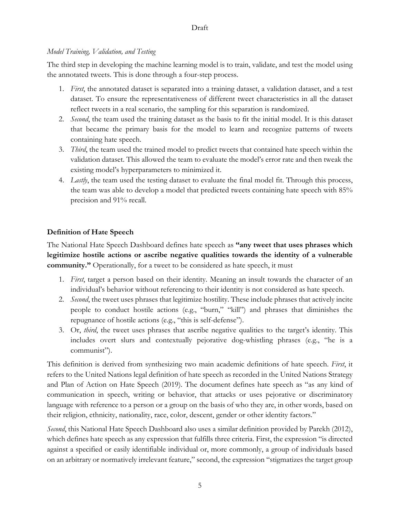# *Model Training, Validation, and Testing*

The third step in developing the machine learning model is to train, validate, and test the model using the annotated tweets. This is done through a four-step process.

- 1. *First*, the annotated dataset is separated into a training dataset, a validation dataset, and a test dataset. To ensure the representativeness of different tweet characteristics in all the dataset reflect tweets in a real scenario, the sampling for this separation is randomized.
- 2. *Second*, the team used the training dataset as the basis to fit the initial model. It is this dataset that became the primary basis for the model to learn and recognize patterns of tweets containing hate speech.
- 3. *Third*, the team used the trained model to predict tweets that contained hate speech within the validation dataset. This allowed the team to evaluate the model's error rate and then tweak the existing model's hyperparameters to minimized it.
- 4. *Lastly*, the team used the testing dataset to evaluate the final model fit. Through this process, the team was able to develop a model that predicted tweets containing hate speech with 85% precision and 91% recall.

# **Definition of Hate Speech**

The National Hate Speech Dashboard defines hate speech as **"any tweet that uses phrases which legitimize hostile actions or ascribe negative qualities towards the identity of a vulnerable community."** Operationally, for a tweet to be considered as hate speech, it must

- 1. *First*, target a person based on their identity. Meaning an insult towards the character of an individual's behavior without referencing to their identity is not considered as hate speech.
- 2. *Second*, the tweet uses phrases that legitimize hostility. These include phrases that actively incite people to conduct hostile actions (e.g., "burn," "kill") and phrases that diminishes the repugnance of hostile actions (e.g., "this is self-defense").
- 3. Or, *third*, the tweet uses phrases that ascribe negative qualities to the target's identity. This includes overt slurs and contextually pejorative dog-whistling phrases (e.g., "he is a communist").

This definition is derived from synthesizing two main academic definitions of hate speech. *First*, it refers to the United Nations legal definition of hate speech as recorded in the United Nations Strategy and Plan of Action on Hate Speech (2019). The document defines hate speech as "as any kind of communication in speech, writing or behavior, that attacks or uses pejorative or discriminatory language with reference to a person or a group on the basis of who they are, in other words, based on their religion, ethnicity, nationality, race, color, descent, gender or other identity factors."

*Second*, this National Hate Speech Dashboard also uses a similar definition provided by Parekh (2012), which defines hate speech as any expression that fulfills three criteria. First, the expression "is directed against a specified or easily identifiable individual or, more commonly, a group of individuals based on an arbitrary or normatively irrelevant feature," second, the expression "stigmatizes the target group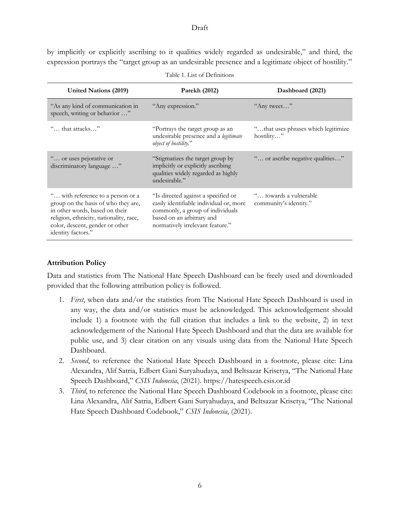by implicitly or explicitly ascribing to it qualities widely regarded as undesirable," and third, the expression portrays the "target group as an undesirable presence and a legitimate object of hostility."

| <b>United Nations (2019)</b>                                                                                                                                                                                   | Parekh (2012)                                                                                                                                                                       | Dashboard (2021)                                   |
|----------------------------------------------------------------------------------------------------------------------------------------------------------------------------------------------------------------|-------------------------------------------------------------------------------------------------------------------------------------------------------------------------------------|----------------------------------------------------|
| "As any kind of communication in<br>speech, writing or behavior "                                                                                                                                              | "Any expression."                                                                                                                                                                   | "Any tweet"                                        |
| " that attacks"                                                                                                                                                                                                | "Portrays the target group as an<br>undesirable presence and a legitimate<br><i>object of hostility.</i> "                                                                          | " that uses phrases which legitimize<br>hostility" |
| " or uses pejorative or<br>discriminatory language "                                                                                                                                                           | "Stigmatizes the target group by<br>implicitly or explicitly ascribing<br>qualities widely regarded as highly<br>undesirable."                                                      | " or ascribe negative qualities"                   |
| " with reference to a person or a<br>group on the basis of who they are,<br>in other words, based on their<br>religion, ethnicity, nationality, race,<br>color, descent, gender or other<br>identity factors." | "Is directed against a specified or<br>easily identifiable individual or, more<br>commonly, a group of individuals<br>based on an arbitrary and<br>normatively irrelevant feature." | " towards a vulnerable"<br>community's identity."  |

|  |  | Table 1. List of Definitions |
|--|--|------------------------------|
|--|--|------------------------------|

#### **Attribution Policy**

Data and statistics from The National Hate Speech Dashboard can be freely used and downloaded provided that the following attribution policy is followed.

- 1. *First*, when data and/or the statistics from The National Hate Speech Dashboard is used in any way, the data and/or statistics must be acknowledged. This acknowledgement should include 1) a footnote with the full citation that includes a link to the website, 2) in text acknowledgement of the National Hate Speech Dashboard and that the data are available for public use, and 3) clear citation on any visuals using data from the National Hate Speech Dashboard.
- 2. *Second*, to reference the National Hate Speech Dashboard in a footnote, please cite: Lina Alexandra, Alif Satria, Edbert Gani Suryahudaya, and Beltsazar Krisetya, "The National Hate Speech Dashboard," *CSIS Indonesia*, (2021). https://hatespeech.csis.or.id
- 3. *Third*, to reference the National Hate Speech Dashboard Codebook in a footnote, please cite: Lina Alexandra, Alif Satria, Edbert Gani Suryahudaya, and Beltsazar Krisetya, "The National Hate Speech Dashboard Codebook," *CSIS Indonesia*, (2021).